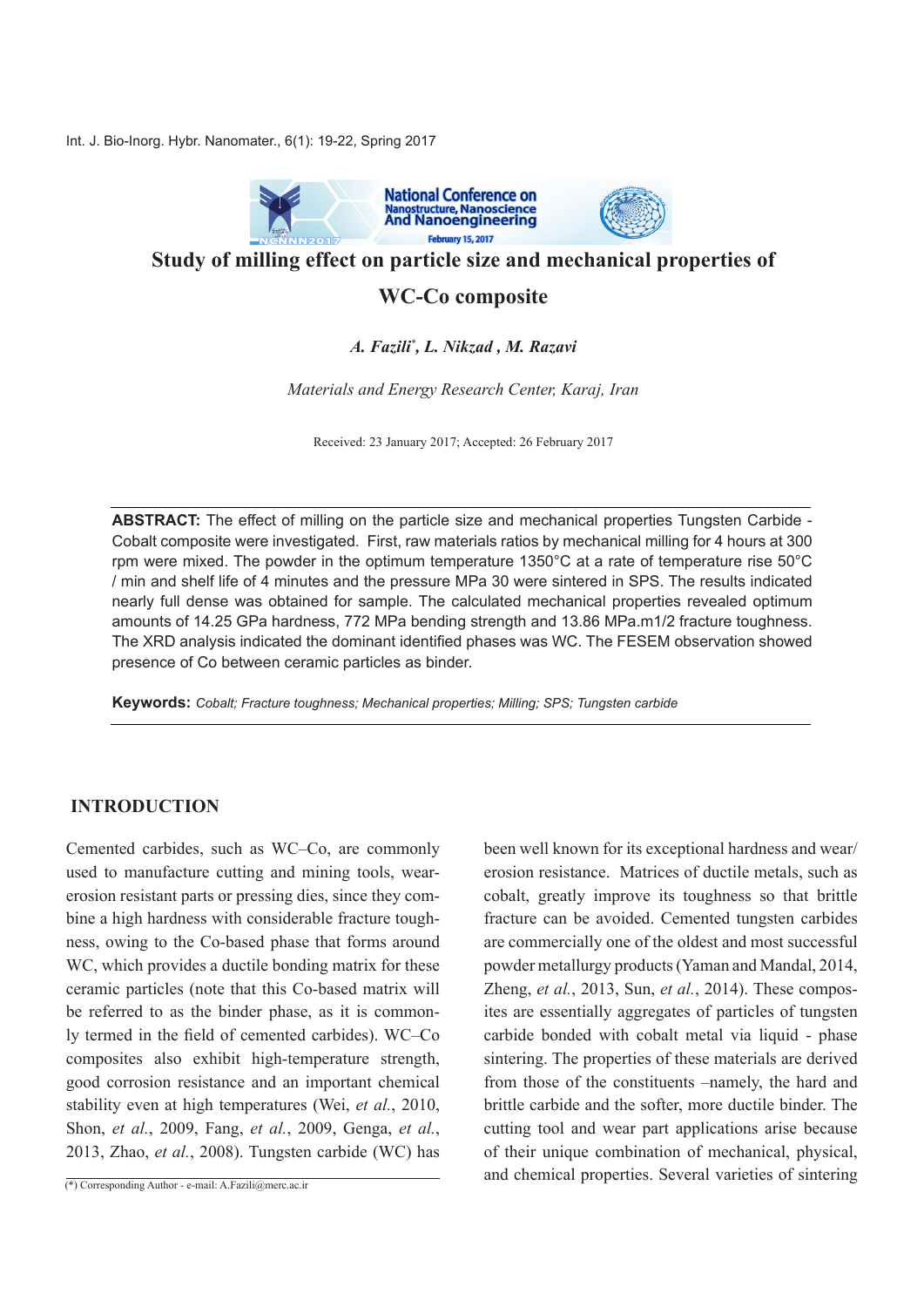Int. J. Bio-Inorg. Hybr. Nanomater., 6(1): 19-22, Spring 2017



**Study of milling effect on particle size and mechanical properties of** 

## **WC-Co composite**

### *A. Fazili\*, L. Nikzad , M. Razavi*

*Materials and Energy Research Center, Karaj, Iran* 

Received: 23 January 2017; Accepted: 26 February 2017

**ABSTRACT:** The effect of milling on the particle size and mechanical properties Tungsten Carbide -Cobalt composite were investigated. First, raw materials ratios by mechanical milling for 4 hours at 300 rpm were mixed. The powder in the optimum temperature  $1350^{\circ}$ C at a rate of temperature rise  $50^{\circ}$ C I min and shelf life of 4 minutes and the pressure MPa 30 were sintered in SPS. The results indicated nearly full dense was obtained for sample. The calculated mechanical properties revealed optimum amounts of 14.25 GPa hardness, 772 MPa bending strength and 13.86 MPa m1/2 fracture toughness. The XRD analysis indicated the dominant identified phases was WC. The FESEM observation showed presence of Co between ceramic particles as binder.

**Keywords:** Cobalt; Fracture toughness; Mechanical properties; Milling; SPS; Tungsten carbide

### **INTRODUCTION**

Cemented carbides, such as WC–Co, are commonly ness, owing to the Co-based phase that forms around bine a high hardness with considerable fracture tougherosion resistant parts or pressing dies, since they comused to manufacture cutting and mining tools, wear-WC, which provides a ductile bonding matrix for these ceramic particles (note that this Co-based matrix will ly termed in the field of cemented carbides). WC-Co be referred to as the binder phase, as it is commoncomposites also exhibit high-temperature strength, good corrosion resistance and an important chemical stability even at high temperatures (Wei, *et al.*, 2010, *Shon, et al., 2009, Fang, et al., 2009, Genga, et al.,* 2013, Zhao, et al., 2008). Tungsten carbide (WC) has been well known for its exceptional hardness and wear/ erosion resistance. Matrices of ductile metals, such as cobalt, greatly improve its toughness so that brittle fracture can be avoided. Cemented tungsten carbides are commercially one of the oldest and most successful powder metallurgy products (Yaman and Mandal, 2014, ites are essentially aggregates of particles of tungsten Zheng, *et al.*, 2013, *Sun, et al.*, 2014). These composcarbide bonded with cobalt metal via liquid - phase sintering. The properties of these materials are derived from those of the constituents –namely, the hard and brittle carbide and the softer, more ductile binder. The cutting tool and wear part applications arise because of their unique combination of mechanical, physical, and chemical properties. Several varieties of sintering

 $\overline{(*)}$  Corresponding Author - e-mail: A.Fazili@merc.ac.ir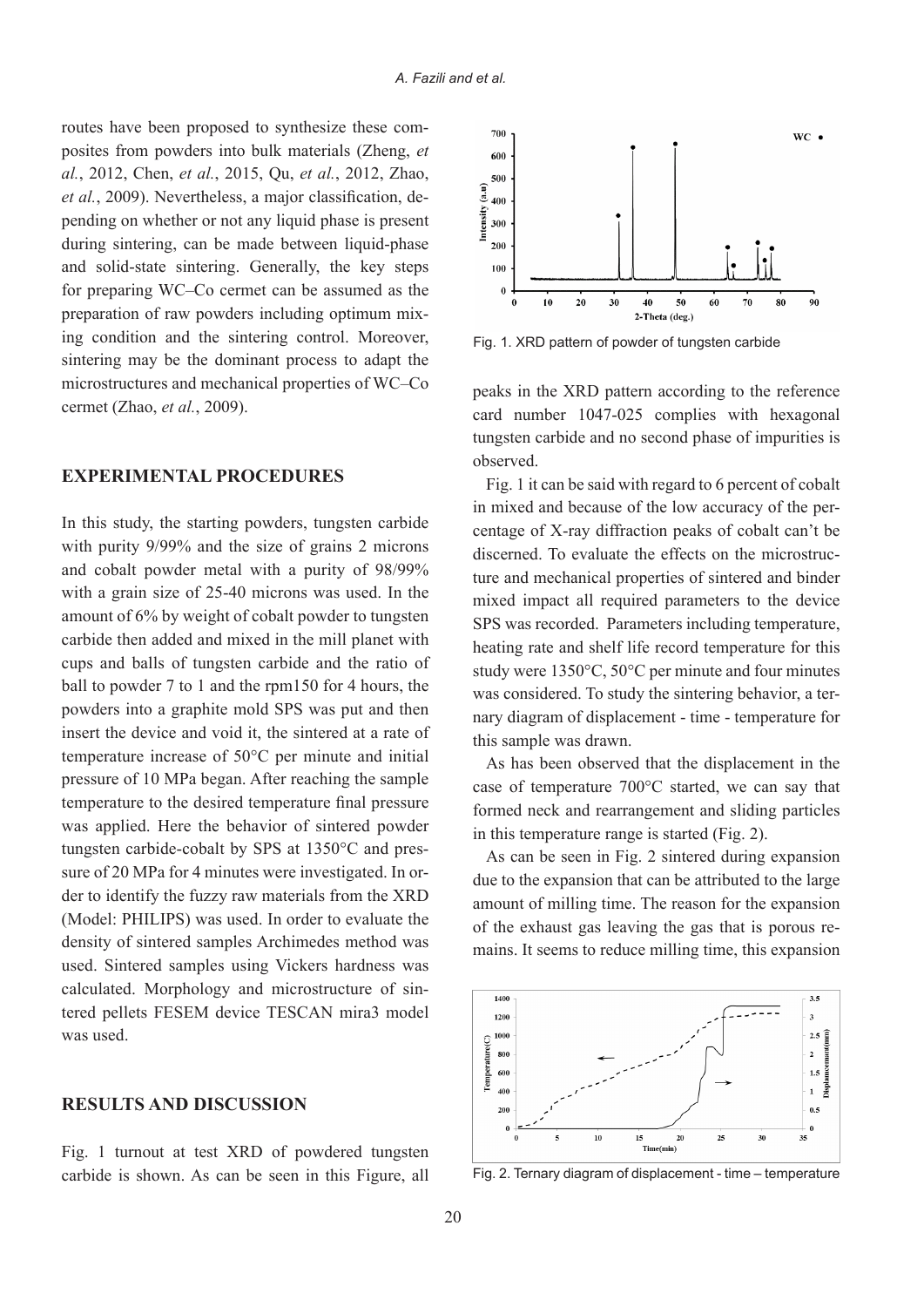posites from powders into bulk materials (Zheng, et routes have been proposed to synthesize these com*al.*, 2012, *Chen, et al.*, 2015, *Qu, et al.*, 2012, *Zhao*, pending on whether or not any liquid phase is present et al., 2009). Nevertheless, a major classification, deduring sintering, can be made between liquid-phase and solid-state sintering. Generally, the key steps for preparing WC–Co cermet can be assumed as the ing condition and the sintering control. Moreover, preparation of raw powders including optimum mixsintering may be the dominant process to adapt the microstructures and mechanical properties of WC–Co cermet (Zhao, et al., 2009).

#### **EXPERIMENTAL PROCEDURES**

In this study, the starting powders, tungsten carbide with purity  $9/99\%$  and the size of grains 2 microns and cobalt powder metal with a purity of  $98/99\%$ with a grain size of  $25-40$  microns was used. In the amount of  $6\%$  by weight of cobalt powder to tungsten carbide then added and mixed in the mill planet with cups and balls of tungsten carbide and the ratio of ball to powder 7 to 1 and the rpm  $150$  for 4 hours, the powders into a graphite mold SPS was put and then insert the device and void it, the sintered at a rate of temperature increase of  $50^{\circ}$ C per minute and initial pressure of 10 MPa began. After reaching the sample temperature to the desired temperature final pressure was applied. Here the behavior of sintered powder der to identify the fuzzy raw materials from the XRD sure of 20 MPa for 4 minutes were investigated. In ortungsten carbide-cobalt by SPS at  $1350^{\circ}$ C and pres-(Model: PHILIPS) was used. In order to evaluate the density of sintered samples Archimedes method was used. Sintered samples using Vickers hardness was tered pellets FESEM device TESCAN mira3 model calculated. Morphology and microstructure of sinwas used

#### **RESULTS AND DISCUSSION**

Fig. 1 turnout at test XRD of powdered tungsten carbide is shown. As can be seen in this Figure, all



Fig. 1. XRD pattern of powder of tungsten carbide

peaks in the XRD pattern according to the reference card number 1047-025 complies with hexagonal tungsten carbide and no second phase of impurities is .observed

Fig. 1 it can be said with regard to 6 percent of cobalt centage of X-ray diffraction peaks of cobalt can't be in mixed and because of the low accuracy of the perture and mechanical properties of sintered and binder discerned. To evaluate the effects on the microstrucmixed impact all required parameters to the device SPS was recorded. Parameters including temperature. heating rate and shelf life record temperature for this study were  $1350^{\circ}$ C,  $50^{\circ}$ C per minute and four minutes nary diagram of displacement - time - temperature for was considered. To study the sintering behavior, a terthis sample was drawn.

As has been observed that the displacement in the case of temperature  $700^{\circ}$ C started, we can say that formed neck and rearrangement and sliding particles in this temperature range is started  $(Fig. 2)$ .

As can be seen in Fig. 2 sintered during expansion due to the expansion that can be attributed to the large amount of milling time. The reason for the expansion mains. It seems to reduce milling time, this expansion of the exhaust gas leaving the gas that is porous re-



Fig. 2. Ternary diagram of displacement - time - temperature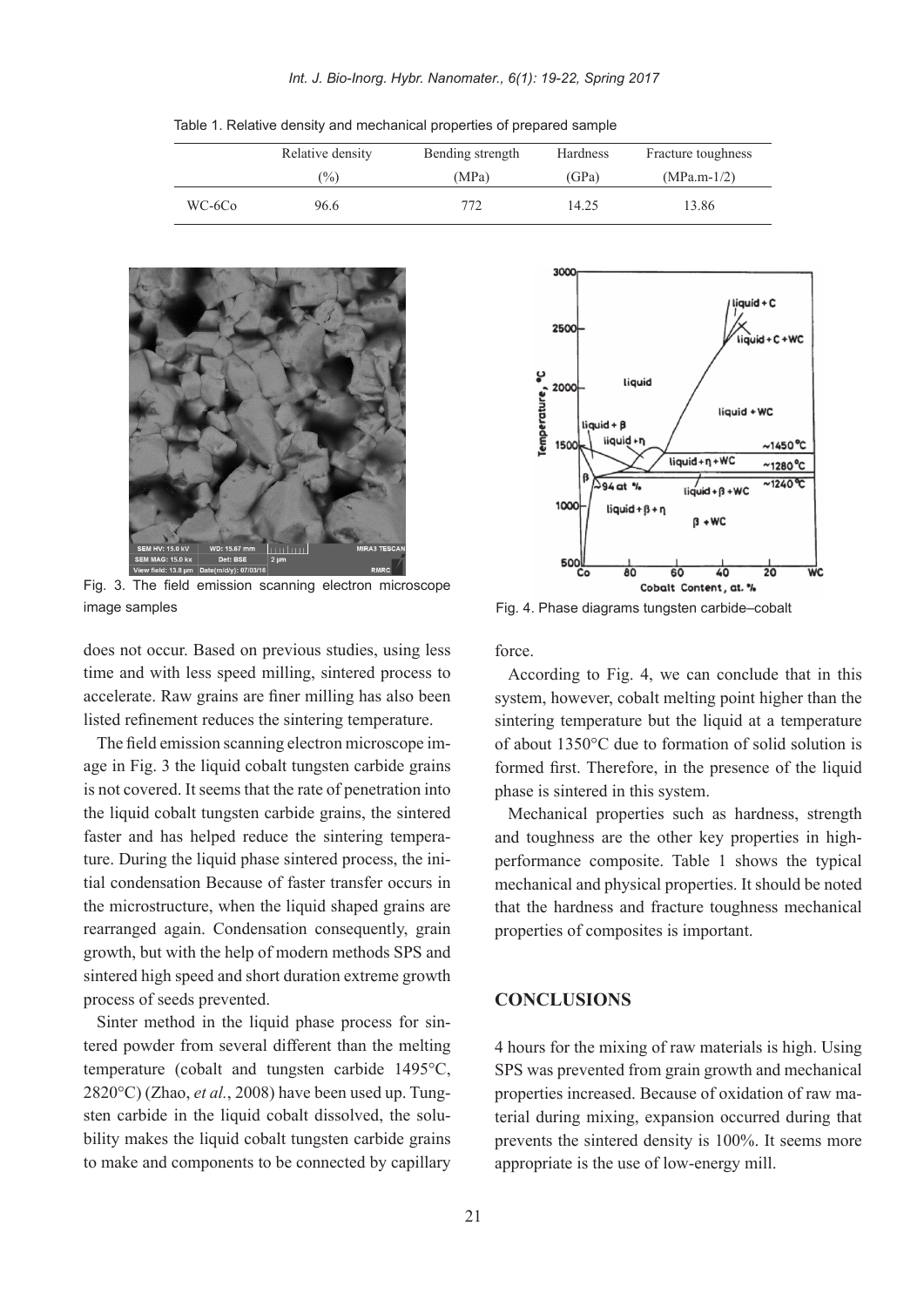Table 1. Relative density and mechanical properties of prepared sample

|        | Relative density | Bending strength | Hardness | Fracture toughness |
|--------|------------------|------------------|----------|--------------------|
|        | $\binom{0}{0}$   | (MPa)            | (GPa)    | $(MPa.m-1/2)$      |
| WC-6Co | 96.6             | 772              | 14.25    | 13.86              |



Fig. 3. The field emission scanning electron microscope image samples<br>
Fig. 4. Phase diagrams tungsten carbide-cobalt

does not occur. Based on previous studies, using less time and with less speed milling, sintered process to accelerate. Raw grains are finer milling has also been listed refinement reduces the sintering temperature.

age in Fig. 3 the liquid cobalt tungsten carbide grains The field emission scanning electron microscope imis not covered. It seems that the rate of penetration into the liquid cobalt tungsten carbide grains, the sintered tial condensation Because of faster transfer occurs in ture. During the liquid phase sintered process, the inifaster and has helped reduce the sintering temperathe microstructure, when the liquid shaped grains are rearranged again. Condensation consequently, grain growth, but with the help of modern methods SPS and sintered high speed and short duration extreme growth process of seeds prevented.

tered powder from several different than the melting Sinter method in the liquid phase process for sintemperature (cobalt and tungsten carbide  $1495^{\circ}$ C, bility makes the liquid cobalt tungsten carbide grains sten carbide in the liquid cobalt dissolved, the solu-2820°C) (Zhao, *et al.*, 2008) have been used up. Tungto make and components to be connected by capillary



.force

According to Fig. 4, we can conclude that in this system, however, cobalt melting point higher than the sintering temperature but the liquid at a temperature of about  $1350^{\circ}$ C due to formation of solid solution is formed first. Therefore, in the presence of the liquid phase is sintered in this system.

Mechanical properties such as hardness, strength performance composite. Table 1 shows the typical and toughness are the other key properties in highmechanical and physical properties. It should be noted that the hardness and fracture toughness mechanical properties of composites is important.

#### **CONCLUSIONS**

4 hours for the mixing of raw materials is high. Using SPS was prevented from grain growth and mechanical terial during mixing, expansion occurred during that properties increased. Because of oxidation of raw maprevents the sintered density is 100%. It seems more appropriate is the use of low-energy mill.